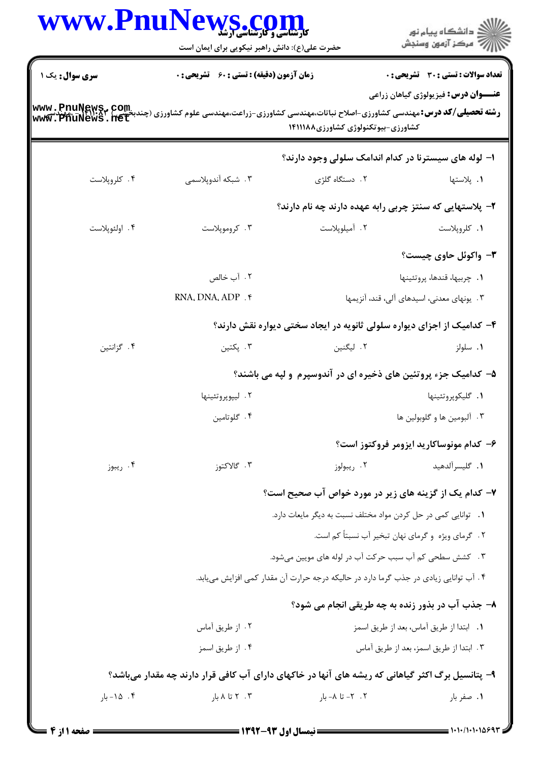| WWW.PnuNews.com        | حضرت علی(ع): دانش راهبر نیکویی برای ایمان است                                                                                                                    |                                                                        | ِ<br>∭ دانشڪاه پيام نور<br>∭ مرڪز آزمون وسنڊش |
|------------------------|------------------------------------------------------------------------------------------------------------------------------------------------------------------|------------------------------------------------------------------------|-----------------------------------------------|
| <b>سری سوال :</b> یک ۱ | <b>زمان آزمون (دقیقه) : تستی : 60 ٪ تشریحی : 0</b>                                                                                                               |                                                                        | <b>تعداد سوالات : تستی : 30 ٪ تشریحی : 0</b>  |
|                        | www , PnuNews,~ Com.<br>سیسته تحصیلی/کد درس:مهندسی کشاورزی-اصلاح نباتات،مهندسی کشاورزی-زراعت،مهندسی علوم کشاورزی (چندبخندیک Mww , PhuNews<br>www , PhuNews , net | کشاورزی-بیوتکنولوژی کشاورزی۸۸۱۱۱۸۸                                     | <b>عنـــوان درس:</b> فیزیولوژی گیاهان زراعی   |
|                        |                                                                                                                                                                  | ۱– لوله های سیسترنا در کدام اندامک سلولی وجود دارند؟                   |                                               |
| ۰۴ کلروپلاست           | ۰۳ شبکه آندوپلاسمی                                                                                                                                               | ۲. دستگاه گلژی                                                         | ٠١. پلاستها                                   |
|                        |                                                                                                                                                                  | ۲– پلاستهایی که سنتز چربی رابه عهده دارند چه نام دارند؟                |                                               |
| ۰۴ اولئوپلاست          | ۰۳ کروموپلاست                                                                                                                                                    | ٠٢ آميلوپلاست                                                          | ٠١. كلروپلاست                                 |
|                        |                                                                                                                                                                  |                                                                        | ۳- واکوئل حاوی چیست؟                          |
|                        | ۰۲ آب خالص                                                                                                                                                       |                                                                        | ٠١. چربيها، قندها، پروتئينها                  |
|                        | RNA, DNA, ADP . *                                                                                                                                                |                                                                        | ۰۳ یونهای معدنی، اسیدهای آلی، قند، آنزیمها    |
|                        |                                                                                                                                                                  | ۴- کدامیک از اجزای دیواره سلولی ثانویه در ایجاد سختی دیواره نقش دارند؟ |                                               |
| ۰۴ گزانتین             | ۰۳ پکتين                                                                                                                                                         | ۲. لیگنین                                                              | ۰۱ سلولز                                      |
|                        | ۵– کدامیک جزء پروتئین های ذخیره ای در آندوسپرم و لپه می باشند؟                                                                                                   |                                                                        |                                               |
|                        | ۰۲ ليپوپروتئينها                                                                                                                                                 |                                                                        | ٠١. گليکوپروتئينها                            |
|                        | ۰۴ گلوتامين                                                                                                                                                      |                                                                        | ۰۳ آلبومين ها و گلوبولين ها                   |
|                        |                                                                                                                                                                  |                                                                        | ۶– کدام مونوساکارید ایزومر فروکتوز است؟       |
| ۰۴ ريبوز               | ۰۳ گالاکتوز                                                                                                                                                      | ۰۲ ریبولوز                                                             | ٠١. گليسرآلدهيد                               |
|                        |                                                                                                                                                                  | ۷- کدام یک از گزینه های زیر در مورد خواص آب صحیح است؟                  |                                               |
|                        | 1. توانایی کمی در حل کردن مواد مختلف نسبت به دیگر مایعات دارد.                                                                                                   |                                                                        |                                               |
|                        |                                                                                                                                                                  | ۲. گرمای ویژه و گرمای نهان تبخیر آب نسبتاً کم است.                     |                                               |
|                        | ۳. کشش سطحی کم آب سبب حرکت آب در لوله های مویین میشود.                                                                                                           |                                                                        |                                               |
|                        | ۰۴ آب توانایی زیادی در جذب گرما دارد در حالیکه درجه حرارت آن مقدار کمی افزایش مییابد.                                                                            |                                                                        |                                               |
|                        | ۸- جذب آب در بذور زنده به چه طریقی انجام می شود؟                                                                                                                 |                                                                        |                                               |
|                        | ۰۲ از طریق آماس                                                                                                                                                  |                                                                        | ٠١. ابتدا از طريق آماس، بعد از طريق اسمز      |
|                        | ۰۴ از طريق اسمز                                                                                                                                                  |                                                                        | ٠٣ ابتدا از طريق اسمز، بعد از طريق آماس       |
|                        | ۹- پتانسیل برگ اکثر گیاهانی که ریشه های آنها در خاکهای دارای آب کافی قرار دارند چه مقدار میباشد؟                                                                 |                                                                        |                                               |
| ۰۴ ۱۵- بار             | ۰۳ تا ۸ بار                                                                                                                                                      | ۰۲ - تا ۸- بار                                                         | ۰۱ صفر بار                                    |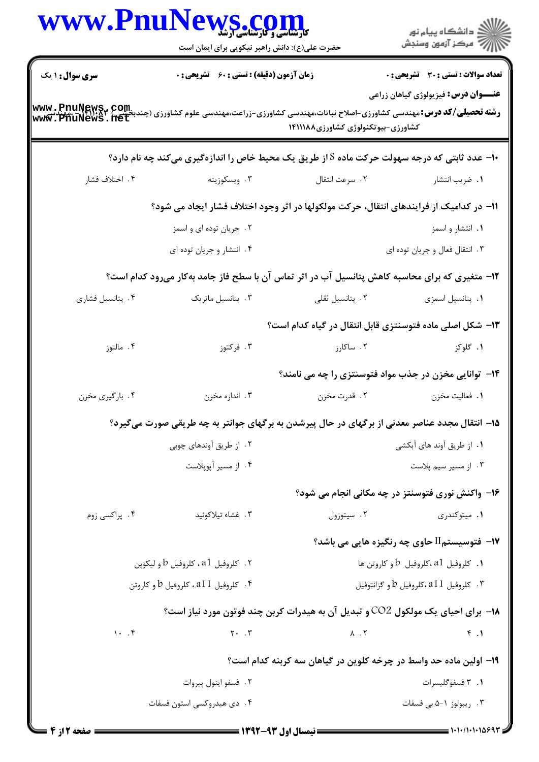| <b>WWW.Phur</b>                                                                                                                                 | <b>کارشناسی و کارشناسی آرشد</b><br>کارشناسی و کارشناسی آرشد<br>حضرت علی(ع): دانش راهبر نیکویی برای ایمان است |                                                                                 | ڪ دانشڪاه پيام نور<br><mark>ر</mark> √ مرڪز آزمون وسنڊش |
|-------------------------------------------------------------------------------------------------------------------------------------------------|--------------------------------------------------------------------------------------------------------------|---------------------------------------------------------------------------------|---------------------------------------------------------|
| <b>سری سوال : ۱ یک</b>                                                                                                                          | <b>زمان آزمون (دقیقه) : تستی : 60 ٪ تشریحی : 0</b>                                                           |                                                                                 | <b>تعداد سوالات : تستی : 30 ٪ تشریحی : 0</b>            |
| <b>رشته تحصیلی/کد درس: مهندسی کشاورزی-اصلاح نباتات،مهندسی کشاورزی-زراعت،مهندسی علوم کشاورزی (چندبخشی) www . PnuNewS<br/>www . PhuNews . net</b> |                                                                                                              | کشاورزی-بیوتکنولوژی کشاورزی۱۴۱۱۱۸۸                                              | <b>عنــــوان درس:</b> فیزیولوژی گیاهان زراعی            |
|                                                                                                                                                 | <b>۱۰</b> - عدد ثابتی که درجه سهولت حرکت ماده S از طریق یک محیط خاص را اندازهگیری میکند چه نام دارد؟         |                                                                                 |                                                         |
| ۰۴ اختلاف فشار                                                                                                                                  | ۰۳ ویسکوزیته                                                                                                 | ۰۲ سرعت انتقال                                                                  | ٠١ ضريب انتشار                                          |
|                                                                                                                                                 | 11- در کدامیک از فرایندهای انتقال، حرکت مولکولها در اثر وجود اختلاف فشار ایجاد می شود؟                       |                                                                                 |                                                         |
|                                                                                                                                                 | ۰۲ جریان توده ای و اسمز                                                                                      |                                                                                 | ۰۱ انتشار و اسمز                                        |
|                                                                                                                                                 | ۰۴ انتشار و جریان توده ای                                                                                    |                                                                                 | ۰۳ انتقال فعال و جريان توده اي                          |
|                                                                                                                                                 | ۱۲- متغیری که برای محاسبه کاهش پتانسیل آب در اثر تماس آن با سطح فاز جامد بهکار میرود کدام است؟               |                                                                                 |                                                         |
| ۰۴ پتانسیل فشاری                                                                                                                                | ۰۳ پتانسیل ماتریک                                                                                            | ۰۲ پتانسیل ثقلی                                                                 | ٠١. پتانسيل اسمزى                                       |
|                                                                                                                                                 |                                                                                                              | ۱۳- شکل اصلی ماده فتوسنتزی قابل انتقال در گیاه کدام است؟                        |                                                         |
| ۰۴ مالتوز                                                                                                                                       | ۰۳ فرکتوز                                                                                                    | ۲. ساکارز                                                                       | ۰۱ گلوکز                                                |
|                                                                                                                                                 |                                                                                                              | ۱۴– توانایی مخزن در جذب مواد فتوسنتزی را چه می نامند؟                           |                                                         |
| ۰۴ بارگیری مخزن                                                                                                                                 | ۰۳ اندازه مخزن                                                                                               | ۰۲ قدرت مخزن                                                                    | ٠١. فعاليت مخزن                                         |
|                                                                                                                                                 | ۱۵– انتقال مجدد عناصر معدنی از برگهای در حال پیرشدن به برگهای جوانتر به چه طریقی صورت میگیرد؟                |                                                                                 |                                                         |
|                                                                                                                                                 | ۰۲ از طریق آوندهای چوبی                                                                                      |                                                                                 | ٠١. از طريق أوند هاى أبكشى                              |
|                                                                                                                                                 | ۰۴ از مسیر آپوپلاست                                                                                          |                                                                                 | ۰۳ از مسیر سیم پلاست                                    |
|                                                                                                                                                 |                                                                                                              |                                                                                 | ۱۶- واکنش نوری فتوسنتز در چه مکانی انجام می شود؟        |
| ۰۴ پراکسی زوم                                                                                                                                   | ۰۳ غشاء تيلاكوئيد                                                                                            | ۰۲ سیتوزول                                                                      | ۰۱ میتوکندری                                            |
|                                                                                                                                                 |                                                                                                              |                                                                                 | <b>۱۷- فتوسیستمII حاوی چه رنگیزه هایی می باشد؟</b>      |
|                                                                                                                                                 | ۰۲ کلروفیل a1، کلروفیل b و لیکوپن                                                                            |                                                                                 | د. كلروفيل a1،كلروفيل $b$ و كاروتن ها $\,$              |
|                                                                                                                                                 | ۰۴ کلروفیل a11، کلروفیل b و کاروتن                                                                           |                                                                                 | ۰۳ کلروفیل a11،کلروفیل b و گزانتوفیل                    |
|                                                                                                                                                 |                                                                                                              | ۱۸− برای احیای یک مولکول CO2 و تبدیل آن به هیدرات کربن چند فوتون مورد نیاز است؟ |                                                         |
| 1.7                                                                                                                                             | $Y \cdot \cdot \cdot Y$                                                                                      | $\lambda$ . $\zeta$                                                             | F.1                                                     |
|                                                                                                                                                 |                                                                                                              | ۱۹– اولین ماده حد واسط در چرخه کلوین در گیاهان سه کربنه کدام است؟               |                                                         |
|                                                                                                                                                 | ۰۲ فسفو اينول پيروات                                                                                         |                                                                                 | ۰۱ قسفوگليسرات                                          |
|                                                                                                                                                 | ۰۴ دی هیدروکسی استون فسفات                                                                                   |                                                                                 | ۰۳ ریبولوز ۱-۵ بی فسفات                                 |
|                                                                                                                                                 |                                                                                                              |                                                                                 | = 1010/10101693                                         |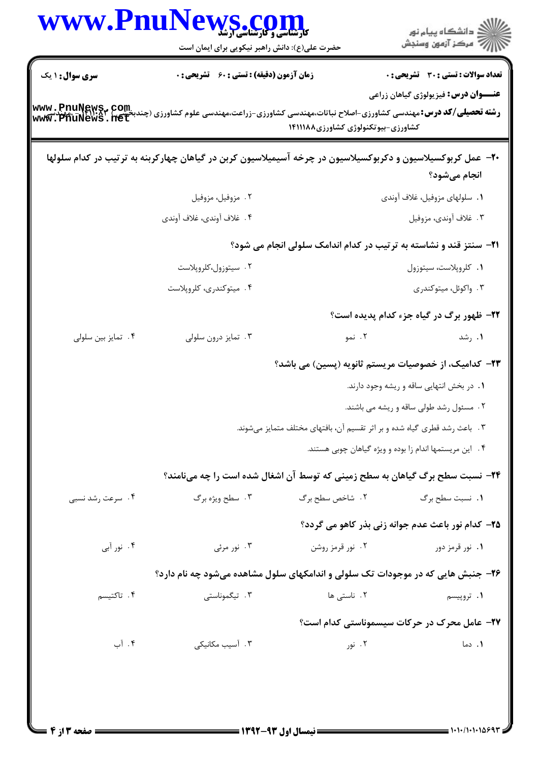| <b>WWW.Phu</b> r                                                                                                                                                                                                                             | کارشناسی و کارسناسی ارشد<br>حضرت علی(ع): دانش راهبر نیکویی برای ایمان است                                   |                                                                           | ڪ دانشڪاه پيام نور<br>7- مرڪز آزمون وسنڊش                         |
|----------------------------------------------------------------------------------------------------------------------------------------------------------------------------------------------------------------------------------------------|-------------------------------------------------------------------------------------------------------------|---------------------------------------------------------------------------|-------------------------------------------------------------------|
| <b>سری سوال : ۱ یک</b>                                                                                                                                                                                                                       | <b>زمان آزمون (دقیقه) : تستی : 60 ٪ تشریحی : 0</b>                                                          |                                                                           | تعداد سوالات : تستى : 30 - تشريحي : 0                             |
| <b>رشته تحصیلی/کد درس: مهندسی کشاورزی-اصلاح نباتات،مهندسی کشاورزی-زراعت،مهندسی علوم کشاورزی (چندبخشی) www . PnuNewS<br/>و<b>شته تحصیلی/کد درس: م</b>هندسی کشاورزی-اصلاح نباتات،مهندسی کشاورزی-زراعت،مهندسی علوم کشاورزی (چندبخشی) www . </b> |                                                                                                             | کشاورزی-بیوتکنولوژی کشاورزی۱۴۱۱۱۸۸                                        | <b>عنـــوان درس:</b> فیزیولوژی گیاهان زراعی                       |
|                                                                                                                                                                                                                                              | +۲- عمل کربوکسیلاسیون و دکربوکسیلاسیون در چرخه آسیمیلاسیون کربن در گیاهان چهارکربنه به ترتیب در کدام سلولها |                                                                           | انجام میشود؟                                                      |
|                                                                                                                                                                                                                                              | ۰۲ مزوفیل، مزوفیل                                                                                           |                                                                           | ١. سلولهاى مزوفيل، غلاف آوندى                                     |
|                                                                                                                                                                                                                                              | ۴. غلاف آوندي، غلاف آوندي                                                                                   |                                                                           | ۰۳ غلاف أوندي، مزوفيل                                             |
|                                                                                                                                                                                                                                              |                                                                                                             |                                                                           | 21- سنتز قند و نشاسته به ترتیب در کدام اندامک سلولی انجام می شود؟ |
|                                                                                                                                                                                                                                              | ۰۲ سیتوزول،کلروپلاست                                                                                        |                                                                           | ٠١ كلروپلاست، سيتوزول                                             |
|                                                                                                                                                                                                                                              | ۰۴ میتوکندری، کلروپلاست                                                                                     |                                                                           | ۰۳ واکوئل، میتوکندری                                              |
|                                                                                                                                                                                                                                              |                                                                                                             |                                                                           | <b>۲۲- ظهور برگ در گیاه جزء کدام پدیده است</b> ؟                  |
| ۰۴ تمایز بین سلولی                                                                                                                                                                                                                           | ۰۳ تمایز درون سلولی                                                                                         | ۰۲ نمو                                                                    | ۰۱ رشد                                                            |
|                                                                                                                                                                                                                                              |                                                                                                             |                                                                           | <b>۲۳</b> – کدامیک، از خصوصیات مریستم ثانویه (پسین) می باشد؟      |
|                                                                                                                                                                                                                                              |                                                                                                             |                                                                           | ۰۱ در بخش انتهایی ساقه و ریشه وجود دارند.                         |
|                                                                                                                                                                                                                                              |                                                                                                             |                                                                           | ۲. مسئول رشد طولی ساقه و ریشه می باشند.                           |
|                                                                                                                                                                                                                                              |                                                                                                             | ۰۳ باعث رشد قطری گیاه شده و بر اثر تقسیم آن، بافتهای مختلف متمایز میشوند. |                                                                   |
|                                                                                                                                                                                                                                              |                                                                                                             |                                                                           | ۴. این مریستمها اندام زا بوده و ویژه گیاهان چوبی هستند.           |
|                                                                                                                                                                                                                                              | <b>۲۴</b> - نسبت سطح برگ گیاهان به سطح زمینی که توسط آن اشغال شده است را چه میiامند؟                        |                                                                           |                                                                   |
| ۰۴ سرعت رشد نسبی                                                                                                                                                                                                                             | ۰۳ سطح ویژه برگ                                                                                             | ٢. شاخص سطح برگ                                                           | ٠١. نسبت سطح برگ                                                  |
|                                                                                                                                                                                                                                              |                                                                                                             |                                                                           | ۲۵- کدام نور باعث عدم جوانه زنی بذر کاهو می گردد؟                 |
| ۰۴ نور آبی                                                                                                                                                                                                                                   | ۰۳ نور مرئی                                                                                                 | ۰۲ نور قرمز روشن                                                          | ۰۱ نور قرمز دور                                                   |
|                                                                                                                                                                                                                                              | ۲۶- جنبش هایی که در موجودات تک سلولی و اندامکهای سلول مشاهده میشود چه نام دارد؟                             |                                                                           |                                                                   |
| ۰۴ تاكتيسم                                                                                                                                                                                                                                   | ۰۳ تیگموناستی                                                                                               | ۰۲ ناستی ها                                                               | ۰۱ تروپیسم                                                        |
|                                                                                                                                                                                                                                              |                                                                                                             |                                                                           | <b>37- عامل محرک در حرکات سیسموناستی کدام است؟</b>                |
| ۰۴ آب                                                                                                                                                                                                                                        | ۰۳ آسیب مکانیک <sub>ی</sub>                                                                                 | ۰۲ نور                                                                    | ٠١. دما                                                           |
|                                                                                                                                                                                                                                              |                                                                                                             |                                                                           |                                                                   |
|                                                                                                                                                                                                                                              |                                                                                                             |                                                                           |                                                                   |
|                                                                                                                                                                                                                                              |                                                                                                             |                                                                           |                                                                   |

 $\blacksquare$